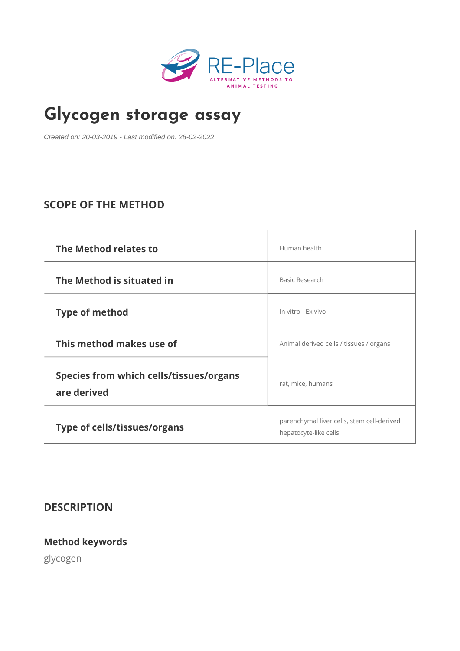# [Glycogen storag](https://re-place.be/method/glycogen-storage-assay)e assay

Created on: 20-03-2019 - Last modified on: 28-02-2022

## SCOPE OF THE METHOD

| The Method relates to                                  | Human health                                                      |  |
|--------------------------------------------------------|-------------------------------------------------------------------|--|
| The Method is situated in                              | Basic Research                                                    |  |
| Type of method                                         | In vitro - Ex vivo                                                |  |
| This method makes use of                               | Animal derived cells / tissues / organs                           |  |
| Species from which cells/tissues/organs<br>are derived | rat, mice, humans                                                 |  |
| Type of cells/tissues/organs                           | parenchymal liver cells, stem cell-deriv<br>hepatocyte-like cells |  |

DESCRIPTION

Method keywords

glycogen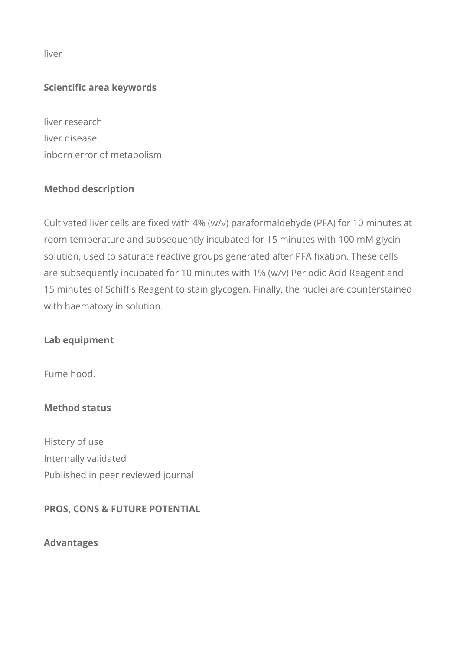liver

#### **Scientific area keywords**

liver research liver disease inborn error of metabolism

### **Method description**

Cultivated liver cells are fixed with 4% (w/v) paraformaldehyde (PFA) for 10 minutes at room temperature and subsequently incubated for 15 minutes with 100 mM glycin solution, used to saturate reactive groups generated after PFA fixation. These cells are subsequently incubated for 10 minutes with 1% (w/v) Periodic Acid Reagent and 15 minutes of Schiff's Reagent to stain glycogen. Finally, the nuclei are counterstained with haematoxylin solution.

#### **Lab equipment**

Fume hood.

#### **Method status**

History of use Internally validated Published in peer reviewed journal

#### **PROS, CONS & FUTURE POTENTIAL**

**Advantages**